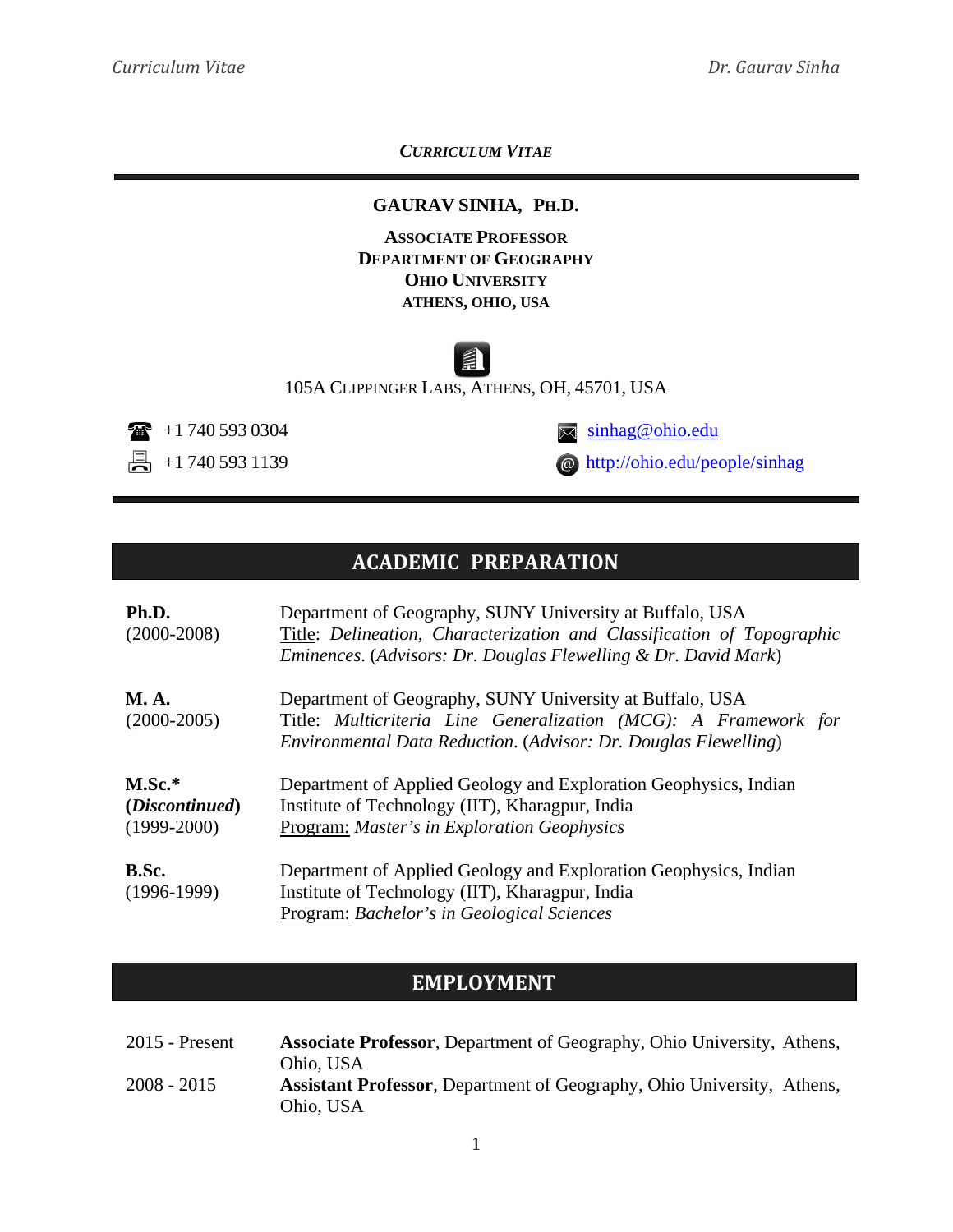*CURRICULUM VITAE*

## **GAURAV SINHA, PH.D.**

**ASSOCIATE PROFESSOR DEPARTMENT OF GEOGRAPHY OHIO UNIVERSITY ATHENS, OHIO, USA**

# 自

105A CLIPPINGER LABS, ATHENS, OH, 45701, USA

 $\blacksquare$  +1 740 593 0304 [sinhag@ohio.edu](mailto:sinhag@ohio.edu)

 $\frac{1}{\sqrt{2}}$  +1 740 593 1139

# **ACADEMIC PREPARATION**

| Ph.D.<br>$(2000-2008)$                               | Department of Geography, SUNY University at Buffalo, USA<br>Title: Delineation, Characterization and Classification of Topographic<br>Eminences. (Advisors: Dr. Douglas Flewelling & Dr. David Mark) |
|------------------------------------------------------|------------------------------------------------------------------------------------------------------------------------------------------------------------------------------------------------------|
| <b>M.A.</b><br>$(2000-2005)$                         | Department of Geography, SUNY University at Buffalo, USA<br>Title: Multicriteria Line Generalization (MCG): A Framework for<br>Environmental Data Reduction. (Advisor: Dr. Douglas Flewelling)       |
| $M.Sc.*$<br>( <i>Discontinued</i> )<br>$(1999-2000)$ | Department of Applied Geology and Exploration Geophysics, Indian<br>Institute of Technology (IIT), Kharagpur, India<br>Program: Master's in Exploration Geophysics                                   |
| B.Sc.<br>$(1996-1999)$                               | Department of Applied Geology and Exploration Geophysics, Indian<br>Institute of Technology (IIT), Kharagpur, India<br>Program: Bachelor's in Geological Sciences                                    |

## **EMPLOYMENT**

| $2015$ - Present | <b>Associate Professor, Department of Geography, Ohio University, Athens,</b> |
|------------------|-------------------------------------------------------------------------------|
|                  | Ohio, USA                                                                     |
| $2008 - 2015$    | <b>Assistant Professor, Department of Geography, Ohio University, Athens,</b> |
|                  | Ohio, USA                                                                     |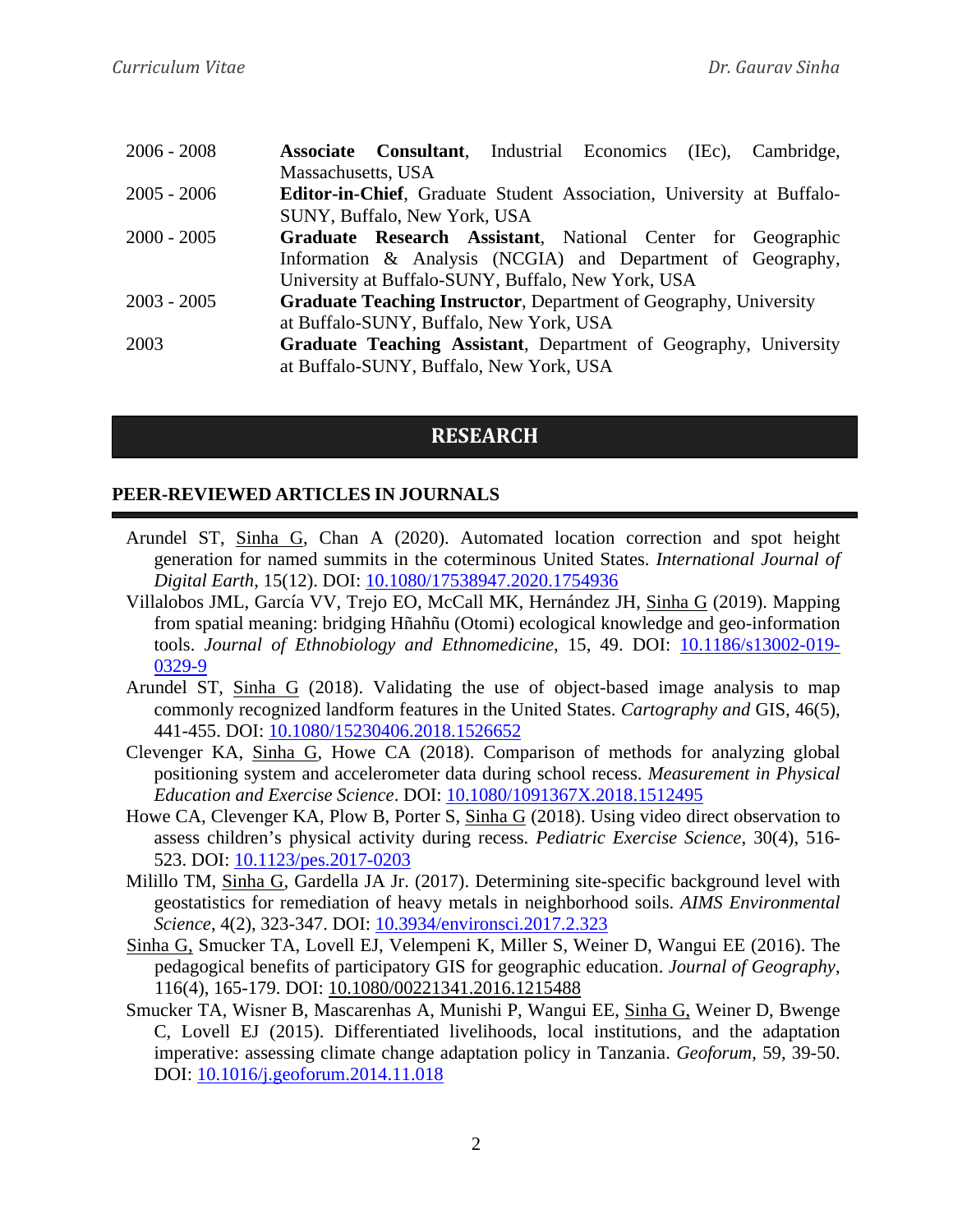| $2006 - 2008$ | <b>Associate Consultant</b> , Industrial Economics (IEc), Cambridge,         |
|---------------|------------------------------------------------------------------------------|
|               | Massachusetts, USA                                                           |
| $2005 - 2006$ | <b>Editor-in-Chief,</b> Graduate Student Association, University at Buffalo- |
|               | SUNY, Buffalo, New York, USA                                                 |
| $2000 - 2005$ | Graduate Research Assistant, National Center for Geographic                  |
|               | Information & Analysis (NCGIA) and Department of Geography,                  |
|               | University at Buffalo-SUNY, Buffalo, New York, USA                           |
| $2003 - 2005$ | <b>Graduate Teaching Instructor, Department of Geography, University</b>     |
|               | at Buffalo-SUNY, Buffalo, New York, USA                                      |
| 2003          | Graduate Teaching Assistant, Department of Geography, University             |
|               | at Buffalo-SUNY, Buffalo, New York, USA                                      |

## **RESEARCH**

#### **PEER-REVIEWED ARTICLES IN JOURNALS**

- Arundel ST, Sinha G, Chan A (2020). Automated location correction and spot height generation for named summits in the coterminous United States. *International Journal of Digital Earth*, 15(12). DOI: [10.1080/17538947.2020.1754936](https://doi.org/10.1080/17538947.2020.1754936)
- Villalobos JML, García VV, Trejo EO, McCall MK, Hernández JH, Sinha G (2019). Mapping from spatial meaning: bridging Hñahñu (Otomi) ecological knowledge and geo-information tools. *Journal of Ethnobiology and Ethnomedicine*, 15, 49. DOI: [10.1186/s13002-019-](https://doi.org/10.1186/s13002-019-0329-9) [0329-9](https://doi.org/10.1186/s13002-019-0329-9)
- Arundel ST, Sinha G (2018). Validating the use of object-based image analysis to map commonly recognized landform features in the United States. *Cartography and* GIS, 46(5), 441-455. DOI: [10.1080/15230406.2018.1526652](https://doi.org/10.1080/15230406.2018.1526652)
- Clevenger KA, Sinha G, Howe CA (2018). Comparison of methods for analyzing global positioning system and accelerometer data during school recess. *Measurement in Physical Education and Exercise Science*. DOI: [10.1080/1091367X.2018.1512495](https://doi.org/10.1080/1091367X.2018.1512495)
- Howe CA, Clevenger KA, Plow B, Porter S, Sinha G (2018). Using video direct observation to assess children's physical activity during recess. *Pediatric Exercise Science*, 30(4), 516- 523. DOI: [10.1123/pes.2017-0203](https://doi.org/10.1123/pes.2017-0203)
- Milillo TM, Sinha G, Gardella JA Jr. (2017). Determining site-specific background level with geostatistics for remediation of heavy metals in neighborhood soils. *AIMS Environmental Science*, 4(2), 323-347. DOI: [10.3934/environsci.2017.2.323](http://dx.doi.org/10.3934/environsci.2017.2.323)
- Sinha G, Smucker TA, Lovell EJ, Velempeni K, Miller S, Weiner D, Wangui EE (2016). The pedagogical benefits of participatory GIS for geographic education. *Journal of Geography*, 116(4), 165-179. DOI: [10.1080/00221341.2016.1215488](http://dx.doi.org/10.1080/00221341.2016.1215488)
- Smucker TA, Wisner B, Mascarenhas A, Munishi P, Wangui EE, Sinha G, Weiner D, Bwenge C, Lovell EJ (2015). Differentiated livelihoods, local institutions, and the adaptation imperative: assessing climate change adaptation policy in Tanzania. *Geoforum*, 59, 39-50. DOI: [10.1016/j.geoforum.2014.11.018](http://dx.doi.org/10.1016/j.geoforum.2014.11.018)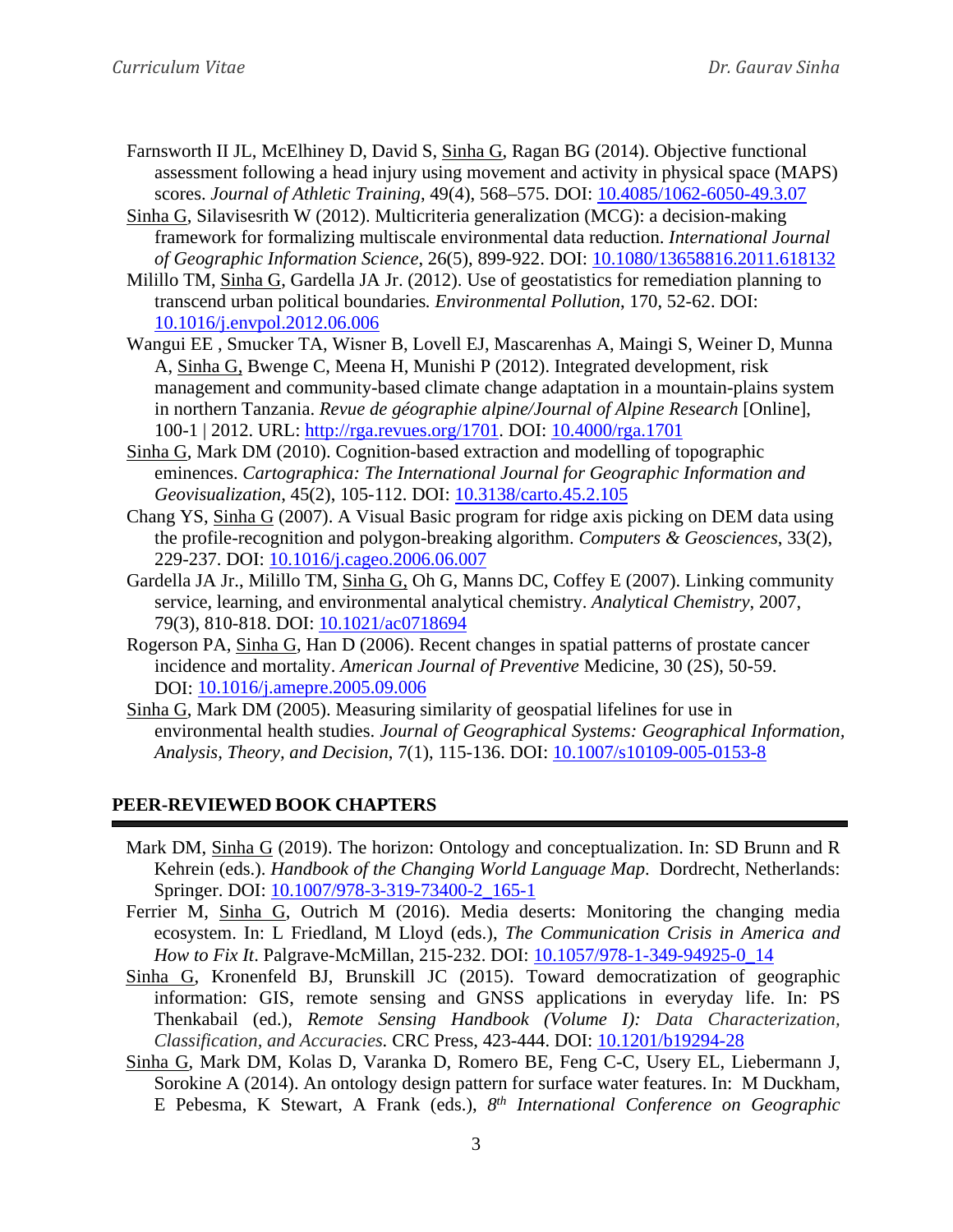- Farnsworth II JL, McElhiney D, David S, Sinha G, Ragan BG (2014). Objective functional assessment following a head injury using movement and activity in physical space (MAPS) scores. *Journal of Athletic Training*, 49(4), 568–575. DOI: [10.4085/1062-6050-49.3.07](http://dx.doi.org/10.4085/1062-6050-49.3.07)
- Sinha G, Silavisesrith W (2012). Multicriteria generalization (MCG): a decision-making framework for formalizing multiscale environmental data reduction. *International Journal of Geographic Information Science*, 26(5), 899-922. DOI: [10.1080/13658816.2011.618132](http://dx.doi.org/10.1080/13658816.2011.618132)
- Milillo TM, Sinha G, Gardella JA Jr. (2012). Use of geostatistics for remediation planning to transcend urban political boundaries*. Environmental Pollution*, 170, 52-62. DOI: [10.1016/j.envpol.2012.06.006](http://dx.doi.org/10.1016/j.envpol.2012.06.006)
- Wangui EE , Smucker TA, Wisner B, Lovell EJ, Mascarenhas A, Maingi S, Weiner D, Munna A, Sinha G, Bwenge C, Meena H, Munishi P (2012). Integrated development, risk management and community-based climate change adaptation in a mountain-plains system in northern Tanzania. *Revue de géographie alpine/Journal of Alpine Research* [Online], 100-1 | 2012. URL: [http://rga.revues.org/1701.](http://rga.revues.org/1701) DOI: [10.4000/rga.1701](http://dx.doi.org/10.4000/rga.1701)
- Sinha G, Mark DM (2010). Cognition-based extraction and modelling of topographic eminences. *Cartographica: The International Journal for Geographic Information and Geovisualization*, 45(2), 105-112. DOI: [10.3138/carto.45.2.105](http://dx.doi.org/10.3138/carto.45.2.105)
- Chang YS, Sinha G (2007). A Visual Basic program for ridge axis picking on DEM data using the profile-recognition and polygon-breaking algorithm. *Computers & Geosciences*, 33(2), 229-237. DOI: [10.1016/j.cageo.2006.06.007](http://dx.doi.org/10.1016/j.cageo.2006.06.007)
- Gardella JA Jr., Milillo TM, Sinha G, Oh G, Manns DC, Coffey E (2007). Linking community service, learning, and environmental analytical chemistry. *Analytical Chemistry*, 2007, 79(3), 810-818. DOI: [10.1021/ac0718694](http://dx.doi.org/10.1021/ac0718694)
- Rogerson PA, Sinha G, Han D (2006). Recent changes in spatial patterns of prostate cancer incidence and mortality. *American Journal of Preventive* Medicine, 30 (2S), 50-59. DOI: [10.1016/j.amepre.2005.09.006](http://dx.doi.org/10.1016/j.amepre.2005.09.006)
- Sinha G, Mark DM (2005). Measuring similarity of geospatial lifelines for use in environmental health studies. *Journal of Geographical Systems: Geographical Information, Analysis, Theory, and Decision*, 7(1), 115-136. DOI: [10.1007/s10109-005-0153-8](http://dx.doi.org/10.1007/s10109-005-0153-8)

### **PEER-REVIEWED BOOK CHAPTERS**

- Mark DM, Sinha G (2019). The horizon: Ontology and conceptualization. In: SD Brunn and R Kehrein (eds.). *Handbook of the Changing World Language Map*. Dordrecht, Netherlands: Springer. DOI: [10.1007/978-3-319-73400-2\\_165-1](https://doi.org/10.1007/978-3-319-73400-2_165-1)
- Ferrier M, Sinha G, Outrich M (2016). Media deserts: Monitoring the changing media ecosystem. In: L Friedland, M Lloyd (eds.), *The Communication Crisis in America and How to Fix It*. Palgrave-McMillan, 215-232. DOI: [10.1057/978-1-349-94925-0\\_14](http://dx.doi.org/10.1057/978-1-349-94925-0_14)
- Sinha G, Kronenfeld BJ, Brunskill JC (2015). Toward democratization of geographic information: GIS, remote sensing and GNSS applications in everyday life. In: PS Thenkabail (ed.), *Remote Sensing Handbook (Volume I): Data Characterization, Classification, and Accuracies.* CRC Press, 423-444. DOI: [10.1201/b19294-28](http://dx.doi.org/10.1201/b19294-28)
- Sinha G, Mark DM, Kolas D, Varanka D, Romero BE, Feng C-C, Usery EL, Liebermann J, Sorokine A (2014). An ontology design pattern for surface water features. In: M Duckham, E Pebesma, K Stewart, A Frank (eds.), *8th International Conference on Geographic*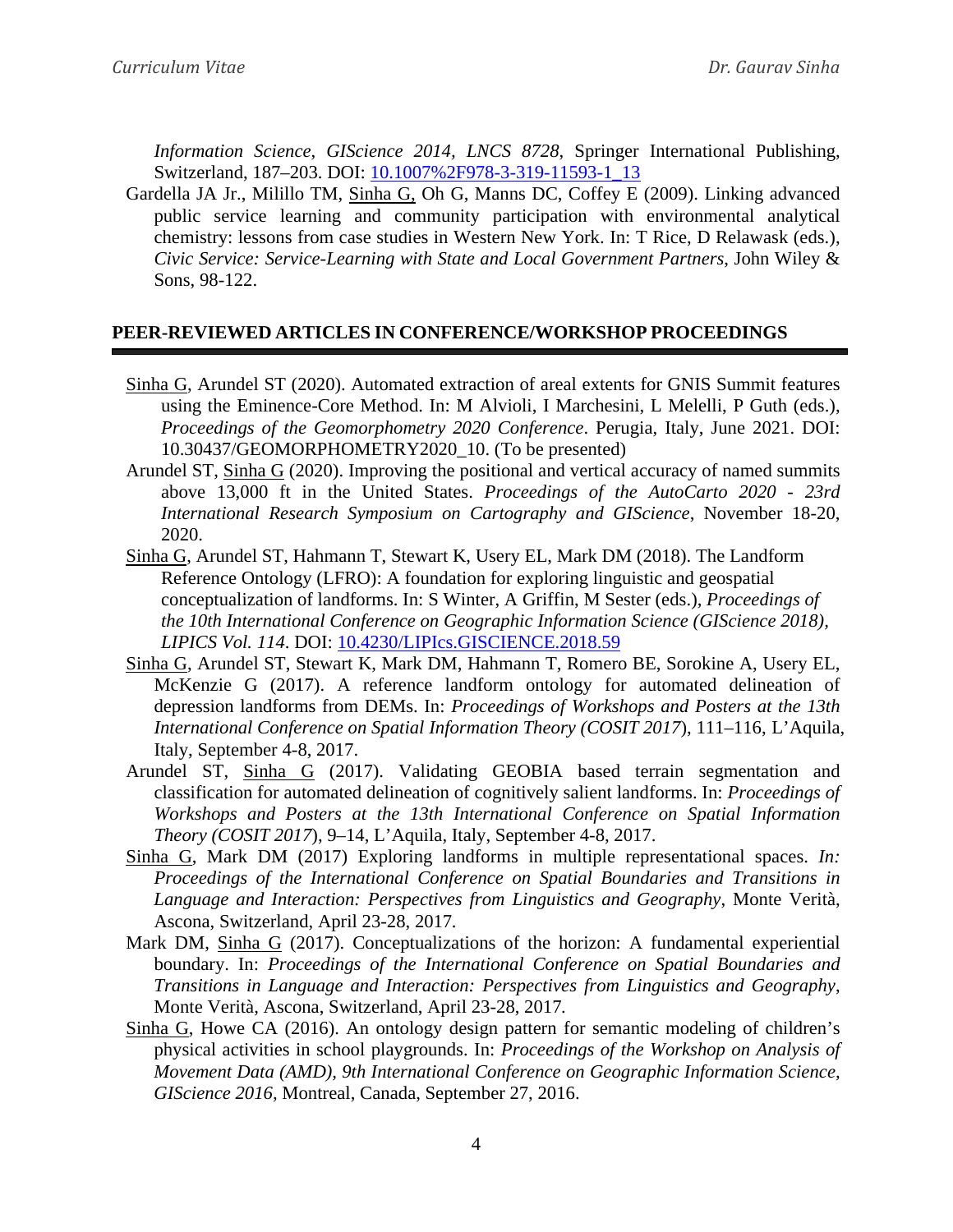*Information Science*, *GIScience 2014, LNCS 8728*, Springer International Publishing, Switzerland, 187–203. DOI: [10.1007%2F978-3-319-11593-1\\_13](http://dx.doi.org/10.1007%2F978-3-319-11593-1_13)

Gardella JA Jr., Milillo TM, Sinha G, Oh G, Manns DC, Coffey E (2009). Linking advanced public service learning and community participation with environmental analytical chemistry: lessons from case studies in Western New York. In: T Rice, D Relawask (eds.), *Civic Service: Service-Learning with State and Local Government Partners*, John Wiley & Sons, 98-122.

### **PEER-REVIEWED ARTICLES IN CONFERENCE/WORKSHOP PROCEEDINGS**

- Sinha G, Arundel ST (2020). Automated extraction of areal extents for GNIS Summit features using the Eminence-Core Method. In: M Alvioli, I Marchesini, L Melelli, P Guth (eds.), *Proceedings of the Geomorphometry 2020 Conference*. Perugia, Italy, June 2021. DOI: 10.30437/GEOMORPHOMETRY2020\_10. (To be presented)
- Arundel ST, Sinha G (2020). Improving the positional and vertical accuracy of named summits above 13,000 ft in the United States. *Proceedings of the AutoCarto 2020 - 23rd International Research Symposium on Cartography and GIScience*, November 18-20, 2020.
- Sinha G, Arundel ST, Hahmann T, Stewart K, Usery EL, Mark DM (2018). The Landform Reference Ontology (LFRO): A foundation for exploring linguistic and geospatial conceptualization of landforms. In: S Winter, A Griffin, M Sester (eds.), *Proceedings of the 10th International Conference on Geographic Information Science (GIScience 2018), LIPICS Vol. 114*. DOI: [10.4230/LIPIcs.GISCIENCE.2018.59](http://dx.doi.org/10.4230/LIPIcs.GISCIENCE.2018.59)
- Sinha G, Arundel ST, Stewart K, Mark DM, Hahmann T, Romero BE, Sorokine A, Usery EL, McKenzie G (2017). A reference landform ontology for automated delineation of depression landforms from DEMs. In: *Proceedings of Workshops and Posters at the 13th International Conference on Spatial Information Theory (COSIT 2017*), 111–116, L'Aquila, Italy, September 4-8, 2017.
- Arundel ST, Sinha G (2017). Validating GEOBIA based terrain segmentation and classification for automated delineation of cognitively salient landforms. In: *Proceedings of Workshops and Posters at the 13th International Conference on Spatial Information Theory (COSIT 2017*), 9–14, L'Aquila, Italy, September 4-8, 2017.
- Sinha G, Mark DM (2017) Exploring landforms in multiple representational spaces. *In: Proceedings of the International Conference on Spatial Boundaries and Transitions in Language and Interaction: Perspectives from Linguistics and Geography*, Monte Verità, Ascona, Switzerland, April 23-28, 2017*.*
- Mark DM, Sinha G (2017). Conceptualizations of the horizon: A fundamental experiential boundary. In: *Proceedings of the International Conference on Spatial Boundaries and Transitions in Language and Interaction: Perspectives from Linguistics and Geography*, Monte Verità, Ascona, Switzerland, April 23-28, 2017*.*
- Sinha G, Howe CA (2016). An ontology design pattern for semantic modeling of children's physical activities in school playgrounds. In: *Proceedings of the Workshop on Analysis of Movement Data (AMD), 9th International Conference on Geographic Information Science, GIScience 2016,* Montreal, Canada, September 27, 2016.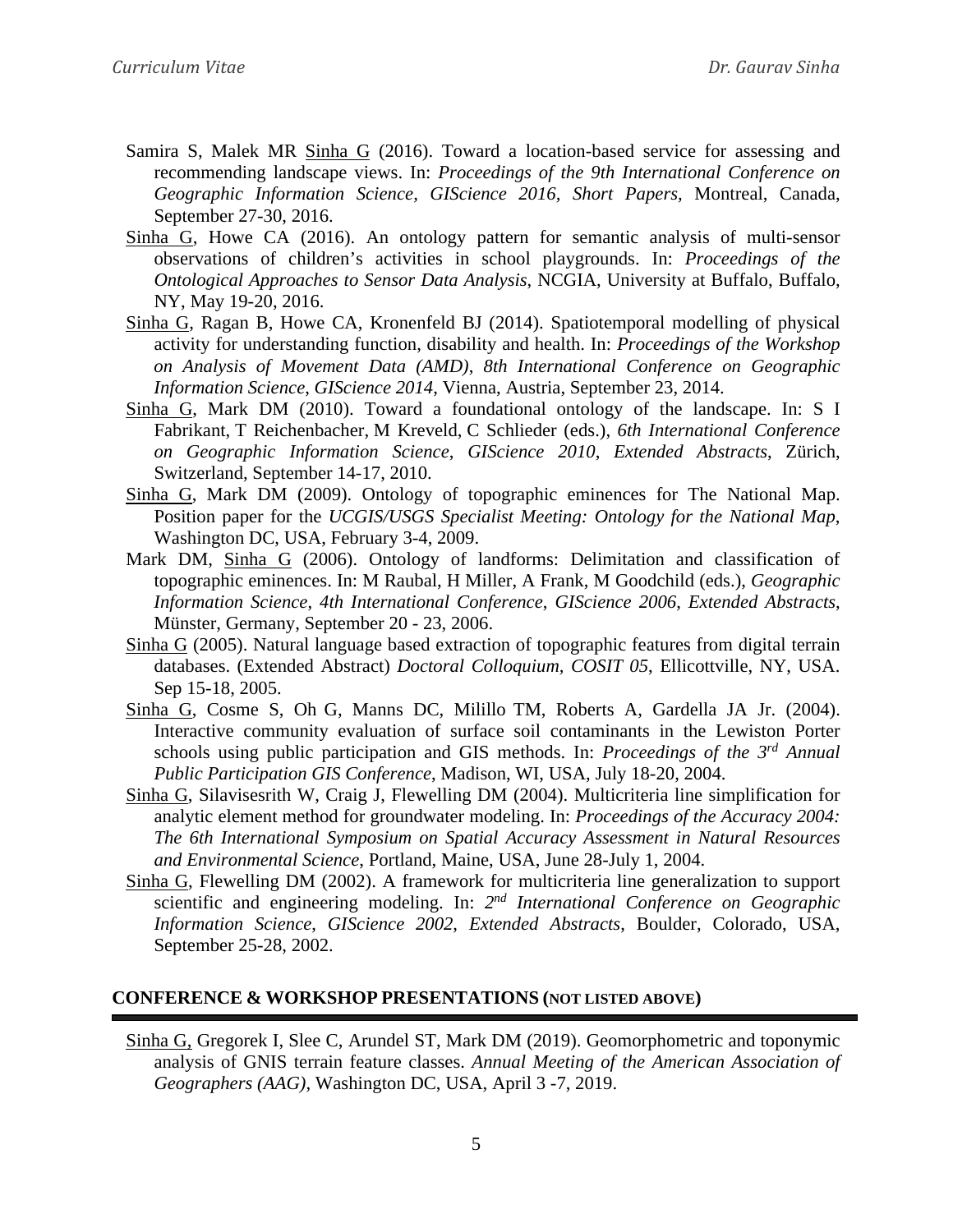- Samira S, Malek MR Sinha G (2016). Toward a location-based service for assessing and recommending landscape views. In: *Proceedings of the 9th International Conference on Geographic Information Science, GIScience 2016, Short Papers,* Montreal, Canada, September 27-30, 2016.
- Sinha G, Howe CA (2016). An ontology pattern for semantic analysis of multi-sensor observations of children's activities in school playgrounds. In: *Proceedings of the Ontological Approaches to Sensor Data Analysis*, NCGIA, University at Buffalo, Buffalo, NY, May 19-20, 2016.
- Sinha G, Ragan B, Howe CA, Kronenfeld BJ (2014). Spatiotemporal modelling of physical activity for understanding function, disability and health. In: *Proceedings of the Workshop on Analysis of Movement Data (AMD)*, *8th International Conference on Geographic Information Science*, *GIScience 2014*, Vienna, Austria, September 23, 2014.
- Sinha G, Mark DM (2010). Toward a foundational ontology of the landscape. In: S I Fabrikant, T Reichenbacher, M Kreveld, C Schlieder (eds.), *6th International Conference on Geographic Information Science*, *GIScience 2010*, *Extended Abstracts*, Zürich, Switzerland, September 14-17, 2010.
- Sinha G, Mark DM (2009). Ontology of topographic eminences for The National Map. Position paper for the *UCGIS/USGS Specialist Meeting: Ontology for the National Map*, Washington DC, USA, February 3-4, 2009.
- Mark DM, Sinha G (2006). Ontology of landforms: Delimitation and classification of topographic eminences. In: M Raubal, H Miller, A Frank, M Goodchild (eds.), *Geographic Information Science*, *4th International Conference*, *GIScience 2006*, *Extended Abstracts*, Münster, Germany, September 20 - 23, 2006.
- Sinha G (2005). Natural language based extraction of topographic features from digital terrain databases. (Extended Abstract) *Doctoral Colloquium, COSIT 05*, Ellicottville, NY, USA. Sep 15-18, 2005.
- Sinha G, Cosme S, Oh G, Manns DC, Milillo TM, Roberts A, Gardella JA Jr. (2004). Interactive community evaluation of surface soil contaminants in the Lewiston Porter schools using public participation and GIS methods. In: *Proceedings of the 3rd Annual Public Participation GIS Conference*, Madison, WI, USA, July 18-20, 2004.
- Sinha G, Silavisesrith W, Craig J, Flewelling DM (2004). Multicriteria line simplification for analytic element method for groundwater modeling. In: *Proceedings of the Accuracy 2004: The 6th International Symposium on Spatial Accuracy Assessment in Natural Resources and Environmental Science*, Portland, Maine, USA, June 28-July 1, 2004.
- Sinha G, Flewelling DM (2002). A framework for multicriteria line generalization to support scientific and engineering modeling. In: *2nd International Conference on Geographic Information Science*, *GIScience 2002*, *Extended Abstracts*, Boulder, Colorado, USA, September 25-28, 2002.

## **CONFERENCE & WORKSHOP PRESENTATIONS (NOT LISTED ABOVE)**

Sinha G, Gregorek I, Slee C, Arundel ST, Mark DM (2019). Geomorphometric and toponymic analysis of GNIS terrain feature classes. *Annual Meeting of the American Association of Geographers (AAG)*, Washington DC, USA, April 3 -7, 2019.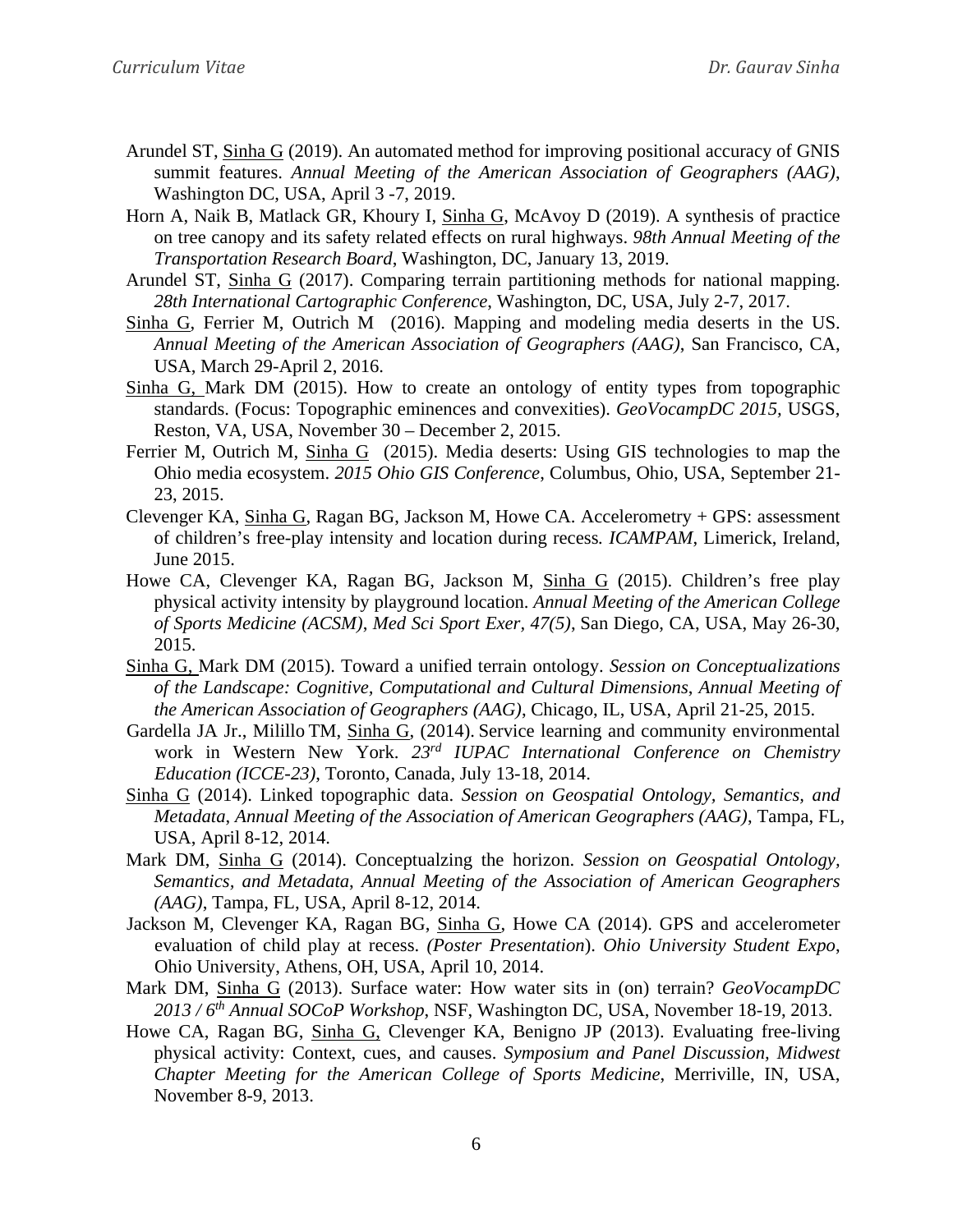- Arundel ST, Sinha G (2019). An automated method for improving positional accuracy of GNIS summit features. *Annual Meeting of the American Association of Geographers (AAG)*, Washington DC, USA, April 3 -7, 2019.
- Horn A, Naik B, Matlack GR, Khoury I, Sinha G, McAvoy D (2019). A synthesis of practice on tree canopy and its safety related effects on rural highways. *98th Annual Meeting of the Transportation Research Board*, Washington, DC, January 13, 2019.
- Arundel ST, Sinha G (2017). Comparing terrain partitioning methods for national mapping. *28th International Cartographic Conference*, Washington, DC, USA, July 2-7, 2017.
- Sinha G, Ferrier M, Outrich M (2016). Mapping and modeling media deserts in the US. *Annual Meeting of the American Association of Geographers (AAG)*, San Francisco, CA, USA, March 29-April 2, 2016.
- Sinha G, Mark DM (2015). How to create an ontology of entity types from topographic standards. (Focus: Topographic eminences and convexities). *GeoVocampDC 2015,* USGS, Reston, VA, USA, November 30 – December 2, 2015.
- Ferrier M, Outrich M,  $Sinha G (2015)$ . Media deserts: Using GIS technologies to map the</u> Ohio media ecosystem. *2015 Ohio GIS Conference*, Columbus, Ohio, USA, September 21- 23, 2015.
- Clevenger KA, Sinha G, Ragan BG, Jackson M, Howe CA. Accelerometry + GPS: assessment of children's free-play intensity and location during recess*. ICAMPAM*, Limerick, Ireland, June 2015.
- Howe CA, Clevenger KA, Ragan BG, Jackson M, Sinha G (2015). Children's free play physical activity intensity by playground location. *Annual Meeting of the American College of Sports Medicine (ACSM)*, *Med Sci Sport Exer, 47(5)*, San Diego, CA, USA, May 26-30, 2015.
- Sinha G, Mark DM (2015). Toward a unified terrain ontology. *Session on Conceptualizations of the Landscape: Cognitive, Computational and Cultural Dimensions*, *Annual Meeting of the American Association of Geographers (AAG)*, Chicago, IL, USA, April 21-25, 2015.
- Gardella JA Jr., Milillo TM, Sinha G, (2014). Service learning and community environmental work in Western New York. *23rd IUPAC International Conference on Chemistry Education (ICCE-23)*, Toronto, Canada, July 13-18, 2014.
- Sinha G (2014). Linked topographic data. *Session on Geospatial Ontology, Semantics, and Metadata*, *Annual Meeting of the Association of American Geographers (AAG)*, Tampa, FL, USA, April 8-12, 2014.
- Mark DM, Sinha G (2014). Conceptualzing the horizon. *Session on Geospatial Ontology, Semantics, and Metadata*, *Annual Meeting of the Association of American Geographers (AAG)*, Tampa, FL, USA, April 8-12, 2014.
- Jackson M, Clevenger KA, Ragan BG, Sinha G, Howe CA (2014). GPS and accelerometer evaluation of child play at recess. *(Poster Presentation*). *Ohio University Student Expo*, Ohio University, Athens, OH, USA, April 10, 2014.
- Mark DM, Sinha G (2013). Surface water: How water sits in (on) terrain? *GeoVocampDC 2013 / 6th Annual SOCoP Workshop*, NSF, Washington DC, USA, November 18-19, 2013.
- Howe CA, Ragan BG, Sinha G, Clevenger KA, Benigno JP (2013). Evaluating free-living physical activity: Context, cues, and causes. *Symposium and Panel Discussion, Midwest Chapter Meeting for the American College of Sports Medicine*, Merriville, IN, USA, November 8-9, 2013.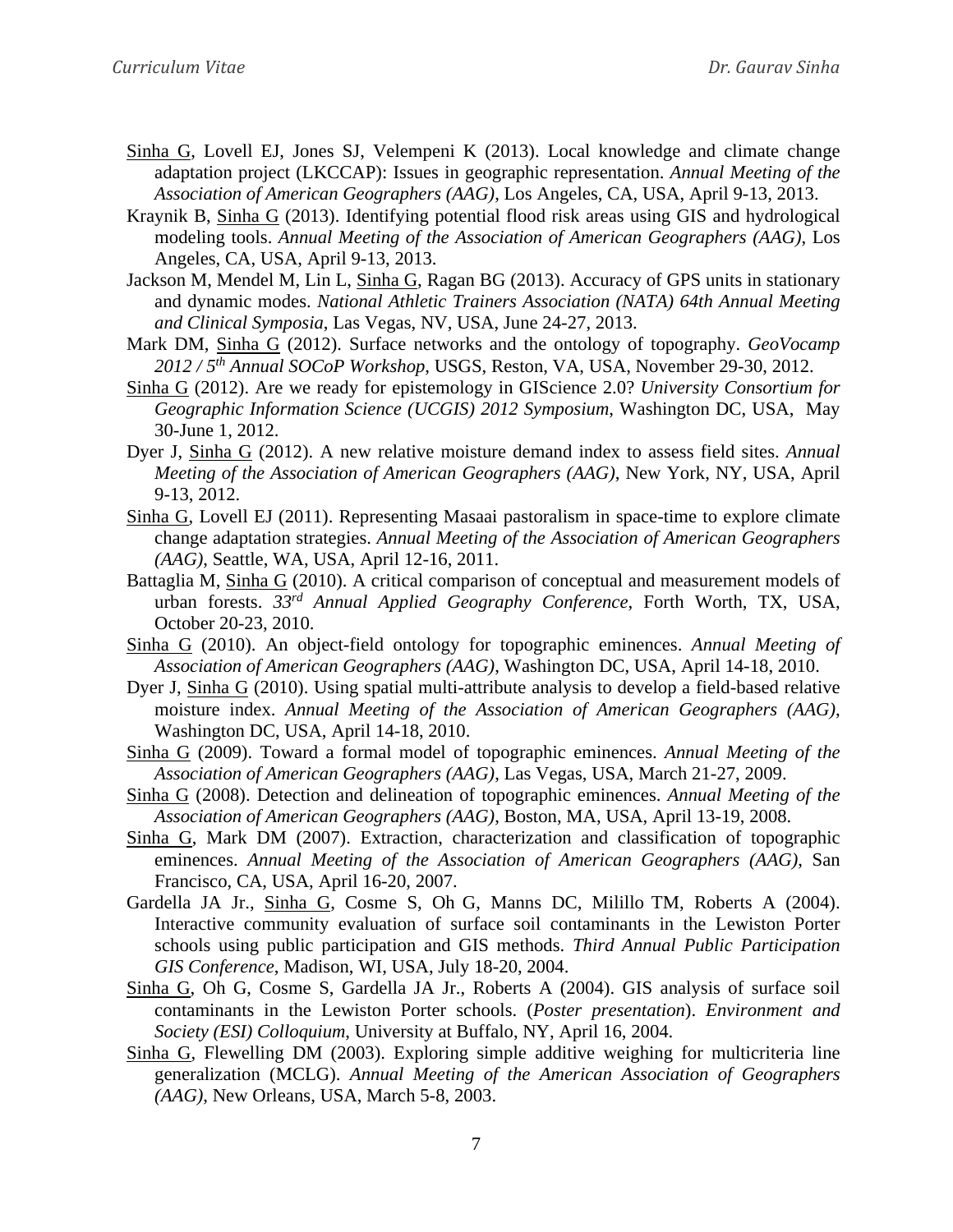- Sinha G, Lovell EJ, Jones SJ, Velempeni K (2013). Local knowledge and climate change adaptation project (LKCCAP): Issues in geographic representation. *Annual Meeting of the Association of American Geographers (AAG)*, Los Angeles, CA, USA, April 9-13, 2013.
- Kraynik B, Sinha G (2013). Identifying potential flood risk areas using GIS and hydrological modeling tools. *Annual Meeting of the Association of American Geographers (AAG)*, Los Angeles, CA, USA, April 9-13, 2013.
- Jackson M, Mendel M, Lin L, Sinha G, Ragan BG (2013). Accuracy of GPS units in stationary and dynamic modes. *National Athletic Trainers Association (NATA) 64th Annual Meeting and Clinical Symposia*, Las Vegas, NV, USA, June 24-27, 2013.
- Mark DM, Sinha G (2012). Surface networks and the ontology of topography. *GeoVocamp 2012 / 5th Annual SOCoP Workshop*, USGS, Reston, VA, USA, November 29-30, 2012.
- Sinha G (2012). Are we ready for epistemology in GIScience 2.0? *University Consortium for Geographic Information Science (UCGIS) 2012 Symposium*, Washington DC, USA, May 30-June 1, 2012.
- Dyer J, Sinha G (2012). A new relative moisture demand index to assess field sites. *Annual Meeting of the Association of American Geographers (AAG)*, New York, NY, USA, April 9-13, 2012.
- Sinha G, Lovell EJ (2011). Representing Masaai pastoralism in space-time to explore climate change adaptation strategies. *Annual Meeting of the Association of American Geographers (AAG)*, Seattle, WA, USA, April 12-16, 2011.
- Battaglia M, Sinha G (2010). A critical comparison of conceptual and measurement models of urban forests. *33rd Annual Applied Geography Conference*, Forth Worth, TX, USA, October 20-23, 2010.
- Sinha G (2010). An object-field ontology for topographic eminences. *Annual Meeting of Association of American Geographers (AAG)*, Washington DC, USA, April 14-18, 2010.
- Dyer J, Sinha G (2010). Using spatial multi-attribute analysis to develop a field-based relative moisture index. *Annual Meeting of the Association of American Geographers (AAG)*, Washington DC, USA, April 14-18, 2010.
- Sinha G (2009). Toward a formal model of topographic eminences. *Annual Meeting of the Association of American Geographers (AAG)*, Las Vegas, USA, March 21-27, 2009.
- Sinha G (2008). Detection and delineation of topographic eminences. *Annual Meeting of the Association of American Geographers (AAG)*, Boston, MA, USA, April 13-19, 2008.
- Sinha G, Mark DM (2007). Extraction, characterization and classification of topographic eminences. *Annual Meeting of the Association of American Geographers (AAG)*, San Francisco, CA, USA, April 16-20, 2007.
- Gardella JA Jr., Sinha G, Cosme S, Oh G, Manns DC, Milillo TM, Roberts A (2004). Interactive community evaluation of surface soil contaminants in the Lewiston Porter schools using public participation and GIS methods. *Third Annual Public Participation GIS Conference*, Madison, WI, USA, July 18-20, 2004.
- Sinha G, Oh G, Cosme S, Gardella JA Jr., Roberts A (2004). GIS analysis of surface soil contaminants in the Lewiston Porter schools. (*Poster presentation*). *Environment and Society (ESI) Colloquium*, University at Buffalo, NY, April 16, 2004.
- Sinha G, Flewelling DM (2003). Exploring simple additive weighing for multicriteria line generalization (MCLG). *Annual Meeting of the American Association of Geographers (AAG)*, New Orleans, USA, March 5-8, 2003.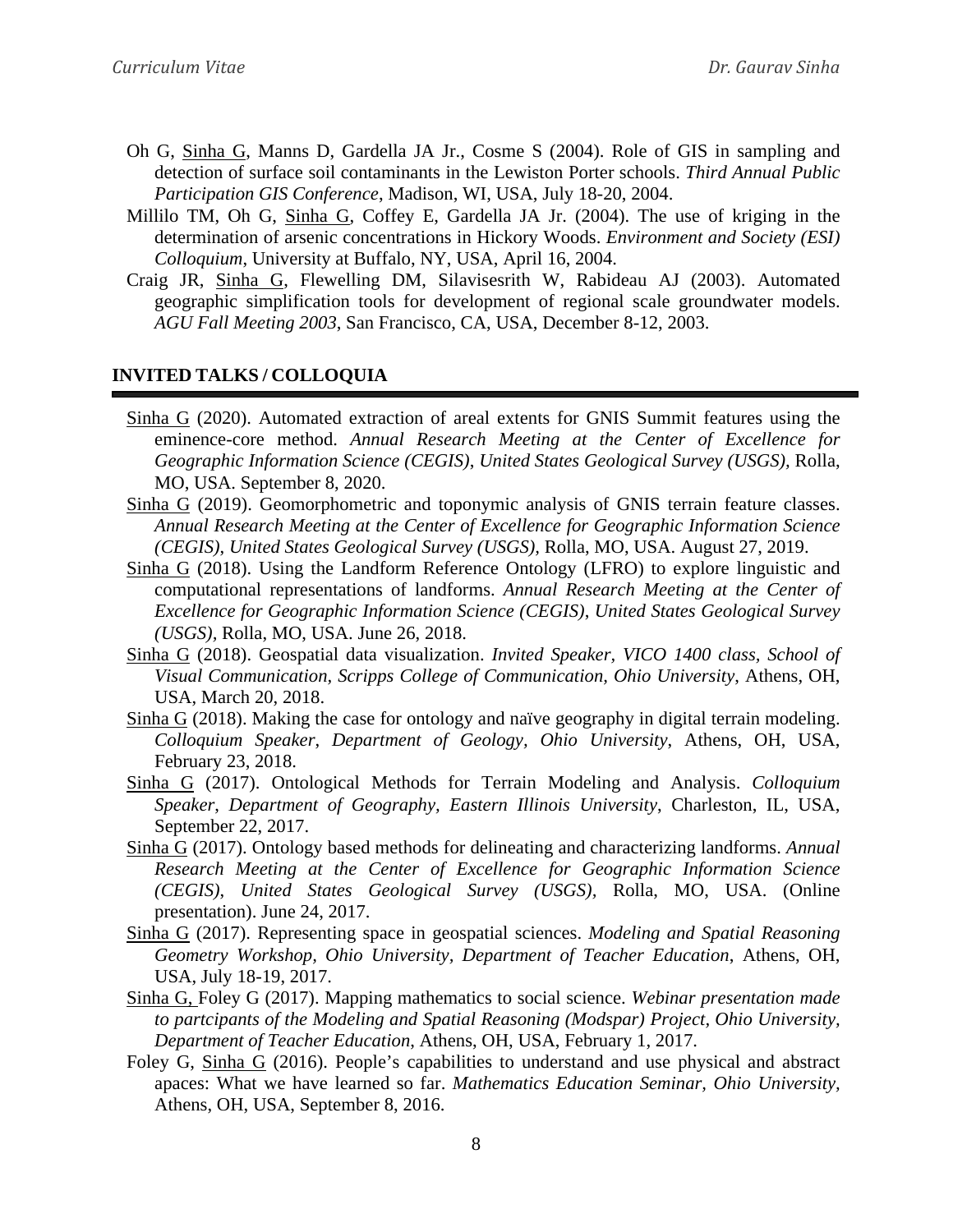- Oh G, Sinha G, Manns D, Gardella JA Jr., Cosme S (2004). Role of GIS in sampling and detection of surface soil contaminants in the Lewiston Porter schools. *Third Annual Public Participation GIS Conference*, Madison, WI, USA, July 18-20, 2004.
- Millilo TM, Oh G, Sinha G, Coffey E, Gardella JA Jr. (2004). The use of kriging in the determination of arsenic concentrations in Hickory Woods. *Environment and Society (ESI) Colloquium*, University at Buffalo, NY, USA, April 16, 2004.
- Craig JR, Sinha G, Flewelling DM, Silavisesrith W, Rabideau AJ (2003). Automated geographic simplification tools for development of regional scale groundwater models. *AGU Fall Meeting 2003*, San Francisco, CA, USA, December 8-12, 2003.

## **INVITED TALKS / COLLOQUIA**

- Sinha G (2020). Automated extraction of areal extents for GNIS Summit features using the eminence-core method. *Annual Research Meeting at the Center of Excellence for Geographic Information Science (CEGIS)*, *United States Geological Survey (USGS),* Rolla, MO, USA. September 8, 2020.
- Sinha G (2019). Geomorphometric and toponymic analysis of GNIS terrain feature classes. *Annual Research Meeting at the Center of Excellence for Geographic Information Science (CEGIS)*, *United States Geological Survey (USGS),* Rolla, MO, USA. August 27, 2019.
- Sinha G (2018). Using the Landform Reference Ontology (LFRO) to explore linguistic and computational representations of landforms. *Annual Research Meeting at the Center of Excellence for Geographic Information Science (CEGIS)*, *United States Geological Survey (USGS),* Rolla, MO, USA. June 26, 2018.
- Sinha G (2018). Geospatial data visualization. *Invited Speaker, VICO 1400 class, School of Visual Communication, Scripps College of Communication, Ohio University*, Athens, OH, USA, March 20, 2018.
- Sinha G (2018). Making the case for ontology and naïve geography in digital terrain modeling. *Colloquium Speaker*, *Department of Geology, Ohio University*, Athens, OH, USA, February 23, 2018.
- Sinha G (2017). Ontological Methods for Terrain Modeling and Analysis. *Colloquium Speaker*, *Department of Geography, Eastern Illinois University*, Charleston, IL, USA, September 22, 2017.
- Sinha G (2017). Ontology based methods for delineating and characterizing landforms. *Annual Research Meeting at the Center of Excellence for Geographic Information Science (CEGIS)*, *United States Geological Survey (USGS),* Rolla, MO, USA. (Online presentation). June 24, 2017.
- Sinha G (2017). Representing space in geospatial sciences. *Modeling and Spatial Reasoning Geometry Workshop, Ohio University, Department of Teacher Education*, Athens, OH, USA, July 18-19, 2017.
- Sinha G, Foley G (2017). Mapping mathematics to social science. *Webinar presentation made to partcipants of the Modeling and Spatial Reasoning (Modspar) Project, Ohio University, Department of Teacher Education*, Athens, OH, USA, February 1, 2017.
- Foley G, Sinha G (2016). People's capabilities to understand and use physical and abstract apaces: What we have learned so far. *Mathematics Education Seminar, Ohio University,* Athens, OH, USA, September 8, 2016.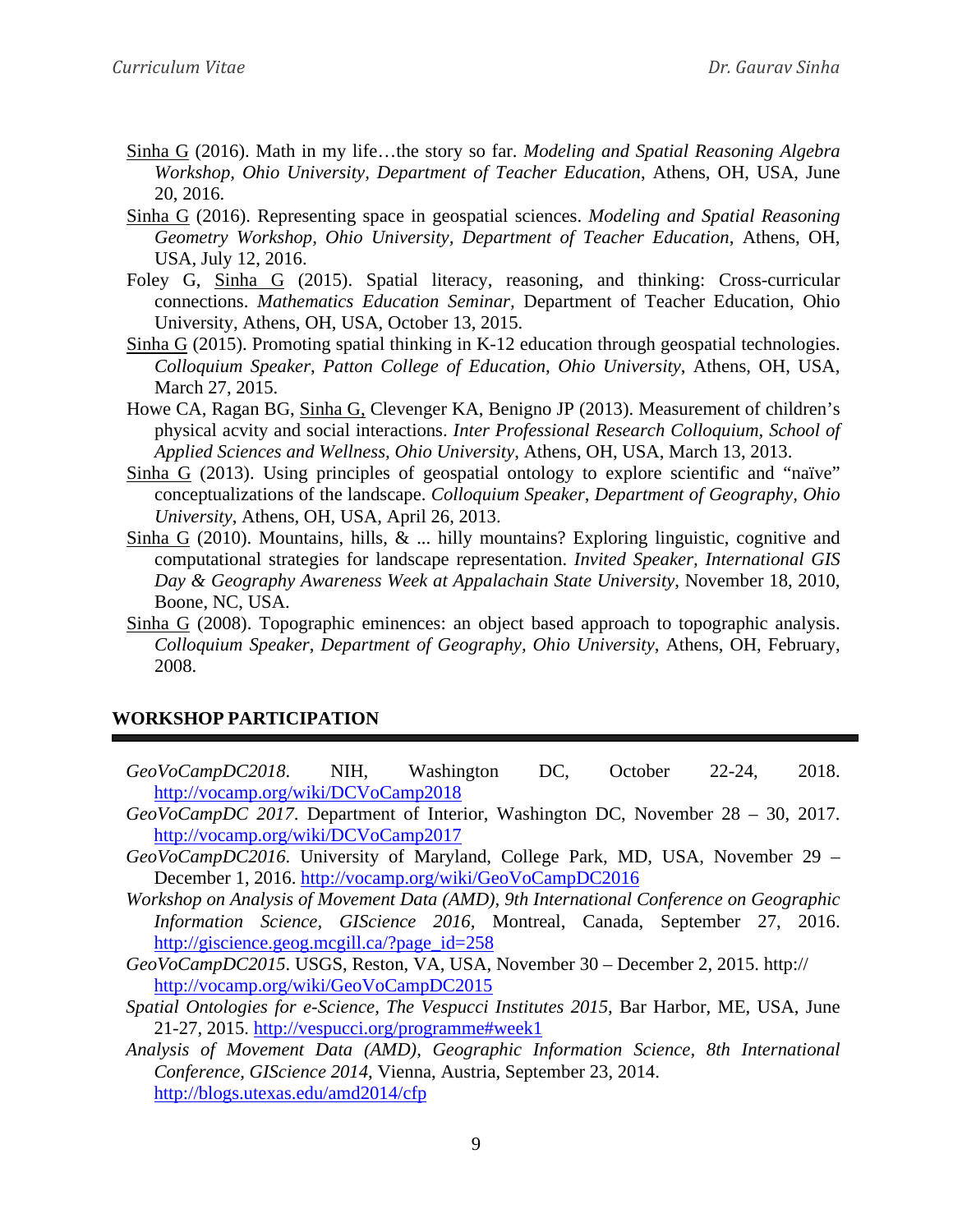- Sinha G (2016). Math in my life…the story so far. *Modeling and Spatial Reasoning Algebra Workshop, Ohio University, Department of Teacher Education*, Athens, OH, USA, June 20, 2016.
- Sinha G (2016). Representing space in geospatial sciences. *Modeling and Spatial Reasoning Geometry Workshop, Ohio University, Department of Teacher Education*, Athens, OH, USA, July 12, 2016.
- Foley G, Sinha G (2015). Spatial literacy, reasoning, and thinking: Cross-curricular connections. *Mathematics Education Seminar,* Department of Teacher Education, Ohio University, Athens, OH, USA, October 13, 2015.
- Sinha G (2015). Promoting spatial thinking in K-12 education through geospatial technologies. *Colloquium Speaker*, *Patton College of Education, Ohio University*, Athens, OH, USA, March 27, 2015.
- Howe CA, Ragan BG, Sinha G, Clevenger KA, Benigno JP (2013). Measurement of children's physical acvity and social interactions. *Inter Professional Research Colloquium, School of Applied Sciences and Wellness, Ohio University*, Athens, OH, USA, March 13, 2013.
- Sinha G (2013). Using principles of geospatial ontology to explore scientific and "naïve" conceptualizations of the landscape. *Colloquium Speaker*, *Department of Geography, Ohio University*, Athens, OH, USA, April 26, 2013.
- Sinha G (2010). Mountains, hills, & ... hilly mountains? Exploring linguistic, cognitive and computational strategies for landscape representation. *Invited Speaker, International GIS Day & Geography Awareness Week at Appalachain State University*, November 18, 2010, Boone, NC, USA.
- Sinha G (2008). Topographic eminences: an object based approach to topographic analysis. *Colloquium Speaker*, *Department of Geography, Ohio University*, Athens, OH, February, 2008.

## **WORKSHOP PARTICIPATION**

- *GeoVoCampDC2018*. NIH, Washington DC, October 22-24, 2018. <http://vocamp.org/wiki/DCVoCamp2018>
- *GeoVoCampDC 2017*. Department of Interior, Washington DC, November 28 30, 2017. <http://vocamp.org/wiki/DCVoCamp2017>
- *GeoVoCampDC2016*. University of Maryland, College Park, MD, USA, November 29 December 1, 2016.<http://vocamp.org/wiki/GeoVoCampDC2016>
- *Workshop on Analysis of Movement Data (AMD), 9th International Conference on Geographic Information Science, GIScience 2016,* Montreal, Canada, September 27, 2016. [http://giscience.geog.mcgill.ca/?page\\_id=258](http://giscience.geog.mcgill.ca/?page_id=258)
- *GeoVoCampDC2015*. USGS, Reston, VA, USA, November 30 December 2, 2015. http:// <http://vocamp.org/wiki/GeoVoCampDC2015>
- *Spatial Ontologies for e-Science, The Vespucci Institutes 2015,* Bar Harbor, ME, USA, June 21-27, 2015.<http://vespucci.org/programme#week1>
- *Analysis of Movement Data (AMD)*, *Geographic Information Science*, *8th International Conference*, *GIScience 2014*, Vienna, Austria, September 23, 2014. <http://blogs.utexas.edu/amd2014/cfp>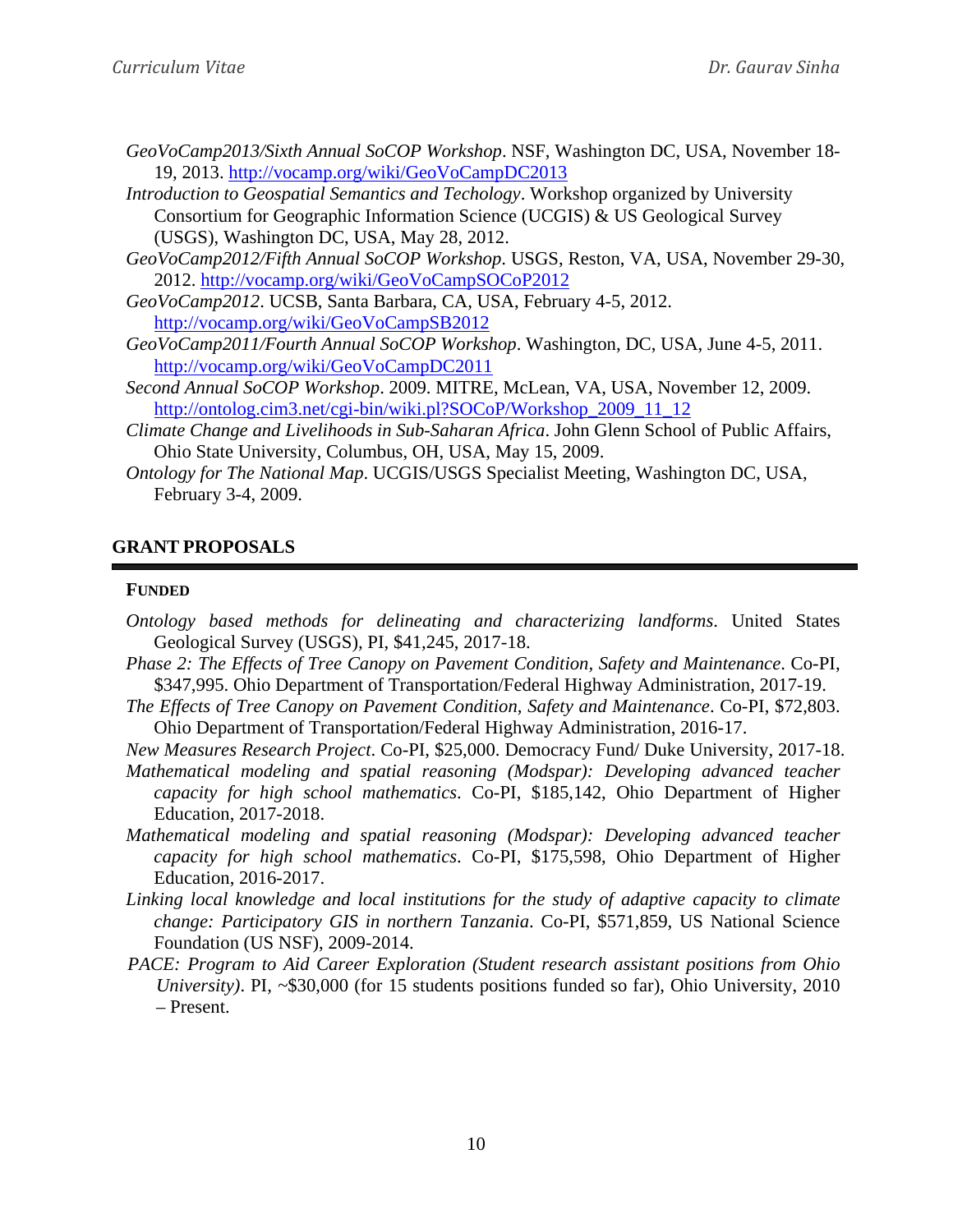- *GeoVoCamp2013/Sixth Annual SoCOP Workshop*. NSF, Washington DC, USA, November 18- 19, 2013.<http://vocamp.org/wiki/GeoVoCampDC2013>
- *Introduction to Geospatial Semantics and Techology*. Workshop organized by University Consortium for Geographic Information Science (UCGIS) & US Geological Survey (USGS), Washington DC, USA, May 28, 2012.
- *GeoVoCamp2012/Fifth Annual SoCOP Workshop*. USGS, Reston, VA, USA, November 29-30, 2012.<http://vocamp.org/wiki/GeoVoCampSOCoP2012>
- *GeoVoCamp2012*. UCSB, Santa Barbara, CA, USA, February 4-5, 2012. <http://vocamp.org/wiki/GeoVoCampSB2012>
- *GeoVoCamp2011/Fourth Annual SoCOP Workshop*. Washington, DC, USA, June 4-5, 2011. <http://vocamp.org/wiki/GeoVoCampDC2011>
- *Second Annual SoCOP Workshop*. 2009. MITRE, McLean, VA, USA, November 12, 2009. [http://ontolog.cim3.net/cgi-bin/wiki.pl?SOCoP/Workshop\\_2009\\_11\\_12](http://ontolog.cim3.net/cgi-bin/wiki.pl?SOCoP/Workshop_2009_11_12)
- *Climate Change and Livelihoods in Sub-Saharan Africa*. John Glenn School of Public Affairs, Ohio State University, Columbus, OH, USA, May 15, 2009.
- *Ontology for The National Map*. UCGIS/USGS Specialist Meeting, Washington DC, USA, February 3-4, 2009.

### **GRANT PROPOSALS**

#### **FUNDED**

- *Ontology based methods for delineating and characterizing landforms*. United States Geological Survey (USGS)*,* PI, \$41,245, 2017-18.
- *Phase 2: The Effects of Tree Canopy on Pavement Condition, Safety and Maintenance*. Co-PI, \$347,995. Ohio Department of Transportation/Federal Highway Administration, 2017-19.
- *The Effects of Tree Canopy on Pavement Condition, Safety and Maintenance*. Co-PI, \$72,803. Ohio Department of Transportation/Federal Highway Administration, 2016-17.
- *New Measures Research Project*. Co-PI, \$25,000. Democracy Fund/ Duke University, 2017-18.
- *Mathematical modeling and spatial reasoning (Modspar): Developing advanced teacher capacity for high school mathematics*. Co-PI, \$185,142, Ohio Department of Higher Education, 2017-2018.
- *Mathematical modeling and spatial reasoning (Modspar): Developing advanced teacher capacity for high school mathematics*. Co-PI, \$175,598, Ohio Department of Higher Education, 2016-2017.
- *Linking local knowledge and local institutions for the study of adaptive capacity to climate change: Participatory GIS in northern Tanzania*. Co-PI, \$571,859, US National Science Foundation (US NSF), 2009-2014.
- *PACE: Program to Aid Career Exploration (Student research assistant positions from Ohio University)*. PI*, ~*\$30,000 (for 15 students positions funded so far), Ohio University, 2010 – Present.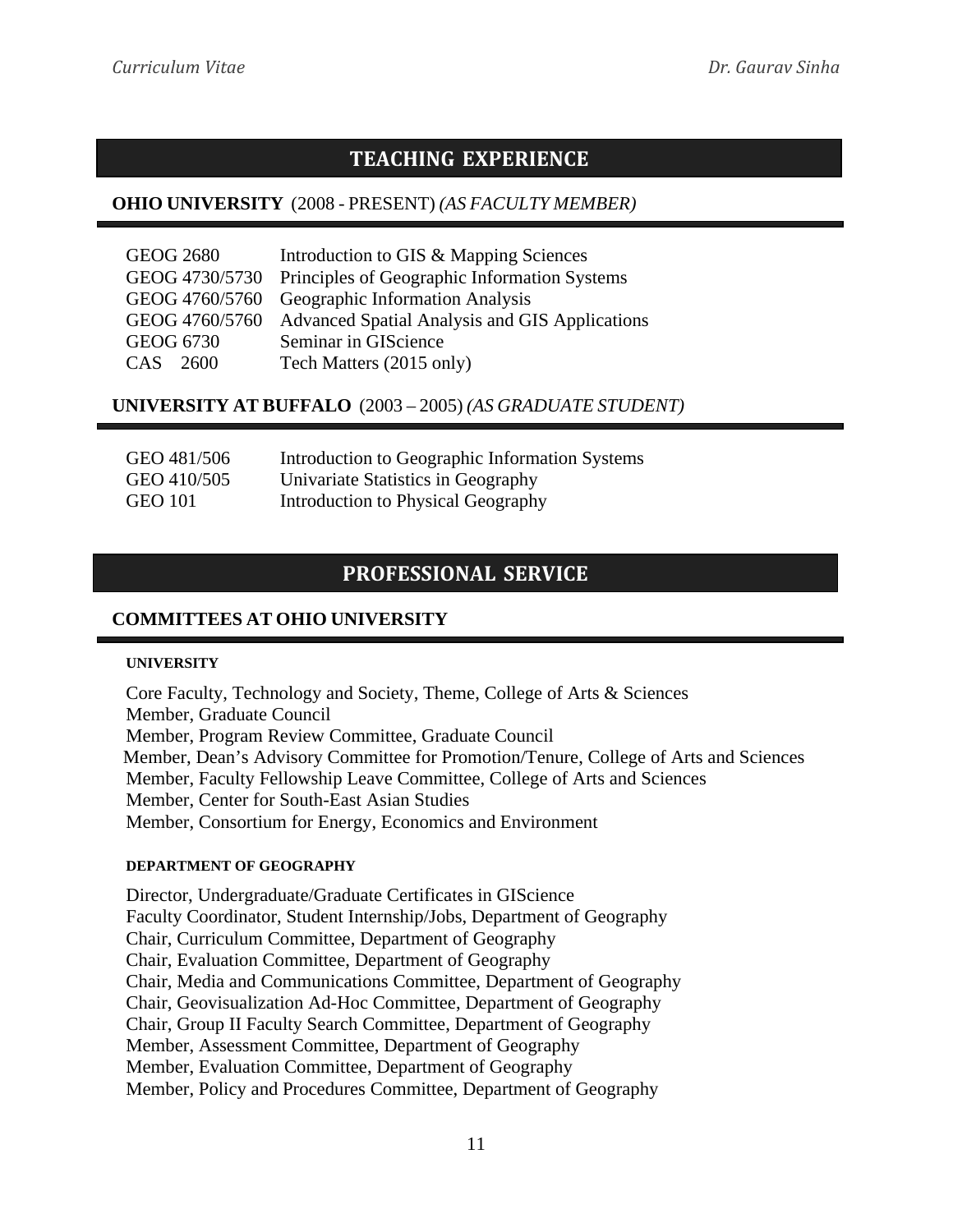# **TEACHING EXPERIENCE**

## **OHIO UNIVERSITY** (2008 - PRESENT) *(AS FACULTY MEMBER)*

| <b>GEOG 2680</b> |                | Introduction to GIS & Mapping Sciences                      |
|------------------|----------------|-------------------------------------------------------------|
|                  |                | GEOG 4730/5730 Principles of Geographic Information Systems |
|                  |                | GEOG 4760/5760 Geographic Information Analysis              |
|                  | GEOG 4760/5760 | <b>Advanced Spatial Analysis and GIS Applications</b>       |
| <b>GEOG 6730</b> |                | Seminar in GIScience                                        |
| CAS 2600         |                | Tech Matters (2015 only)                                    |

## **UNIVERSITY AT BUFFALO** (2003 – 2005) *(AS GRADUATE STUDENT)*

| GEO 481/506 | Introduction to Geographic Information Systems |
|-------------|------------------------------------------------|
| GEO 410/505 | Univariate Statistics in Geography             |
| GEO 101     | Introduction to Physical Geography             |

# **PROFESSIONAL SERVICE**

## **COMMITTEES AT OHIO UNIVERSITY**

#### **UNIVERSITY**

Core Faculty, Technology and Society, Theme, College of Arts & Sciences Member, Graduate Council Member, Program Review Committee, Graduate Council Member, Dean's Advisory Committee for Promotion/Tenure, College of Arts and Sciences Member, Faculty Fellowship Leave Committee, College of Arts and Sciences Member, Center for South-East Asian Studies Member, Consortium for Energy, Economics and Environment

### **DEPARTMENT OF GEOGRAPHY**

Director, Undergraduate/Graduate Certificates in GIScience Faculty Coordinator, Student Internship/Jobs, Department of Geography Chair, Curriculum Committee, Department of Geography Chair, Evaluation Committee, Department of Geography Chair, Media and Communications Committee, Department of Geography Chair, Geovisualization Ad-Hoc Committee, Department of Geography Chair, Group II Faculty Search Committee, Department of Geography Member, Assessment Committee, Department of Geography Member, Evaluation Committee, Department of Geography Member, Policy and Procedures Committee, Department of Geography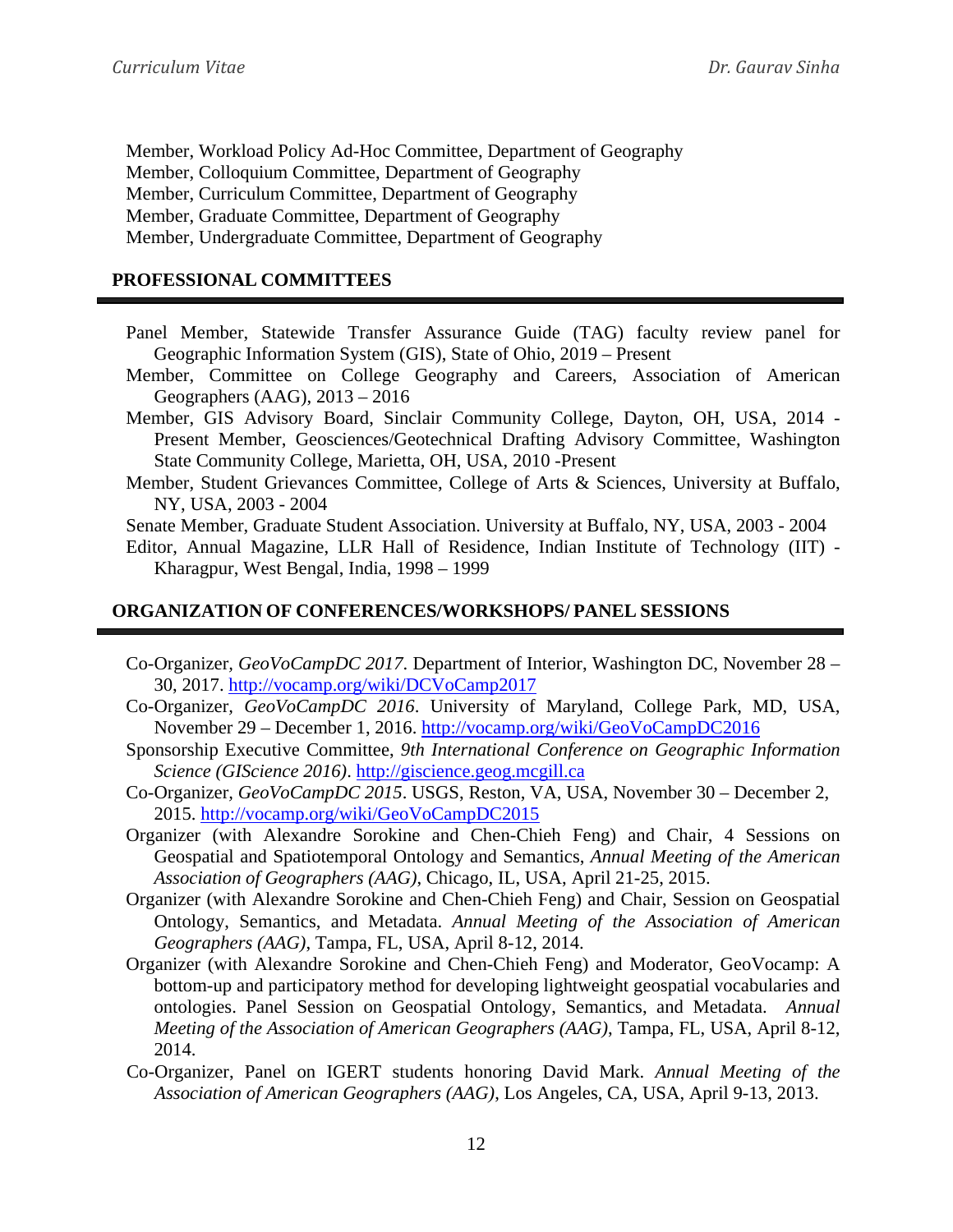Member, Workload Policy Ad-Hoc Committee, Department of Geography Member, Colloquium Committee, Department of Geography Member, Curriculum Committee, Department of Geography Member, Graduate Committee, Department of Geography Member, Undergraduate Committee, Department of Geography

## **PROFESSIONAL COMMITTEES**

- Panel Member, Statewide Transfer Assurance Guide (TAG) faculty review panel for Geographic Information System (GIS), State of Ohio, 2019 – Present
- Member, Committee on College Geography and Careers, Association of American Geographers (AAG), 2013 – 2016
- Member, GIS Advisory Board, Sinclair Community College, Dayton, OH, USA, 2014 Present Member, Geosciences/Geotechnical Drafting Advisory Committee, Washington State Community College, Marietta, OH, USA, 2010 -Present
- Member, Student Grievances Committee, College of Arts & Sciences, University at Buffalo, NY, USA, 2003 - 2004
- Senate Member, Graduate Student Association. University at Buffalo, NY, USA, 2003 2004

Editor, Annual Magazine, LLR Hall of Residence, Indian Institute of Technology (IIT) - Kharagpur, West Bengal, India, 1998 – 1999

#### **ORGANIZATION OF CONFERENCES/WORKSHOPS/ PANEL SESSIONS**

- Co-Organizer*, GeoVoCampDC 2017*. Department of Interior, Washington DC, November 28 30, 2017.<http://vocamp.org/wiki/DCVoCamp2017>
- Co-Organizer*, GeoVoCampDC 2016*. University of Maryland, College Park, MD, USA, November 29 – December 1, 2016.<http://vocamp.org/wiki/GeoVoCampDC2016>
- Sponsorship Executive Committee, *9th International Conference on Geographic Information Science (GIScience 2016)*. [http://giscience.geog.mcgill.ca](http://giscience.geog.mcgill.ca/)
- Co-Organizer*, GeoVoCampDC 2015*. USGS, Reston, VA, USA, November 30 December 2, 2015. <http://vocamp.org/wiki/GeoVoCampDC2015>
- Organizer (with Alexandre Sorokine and Chen-Chieh Feng) and Chair, 4 Sessions on Geospatial and Spatiotemporal Ontology and Semantics, *Annual Meeting of the American Association of Geographers (AAG)*, Chicago, IL, USA, April 21-25, 2015.
- Organizer (with Alexandre Sorokine and Chen-Chieh Feng) and Chair, Session on Geospatial Ontology, Semantics, and Metadata. *Annual Meeting of the Association of American Geographers (AAG)*, Tampa, FL, USA, April 8-12, 2014.
- Organizer (with Alexandre Sorokine and Chen-Chieh Feng) and Moderator, GeoVocamp: A bottom-up and participatory method for developing lightweight geospatial vocabularies and ontologies. Panel Session on Geospatial Ontology, Semantics, and Metadata. *Annual Meeting of the Association of American Geographers (AAG)*, Tampa, FL, USA, April 8-12, 2014.
- Co-Organizer, Panel on IGERT students honoring David Mark. *Annual Meeting of the Association of American Geographers (AAG)*, Los Angeles, CA, USA, April 9-13, 2013.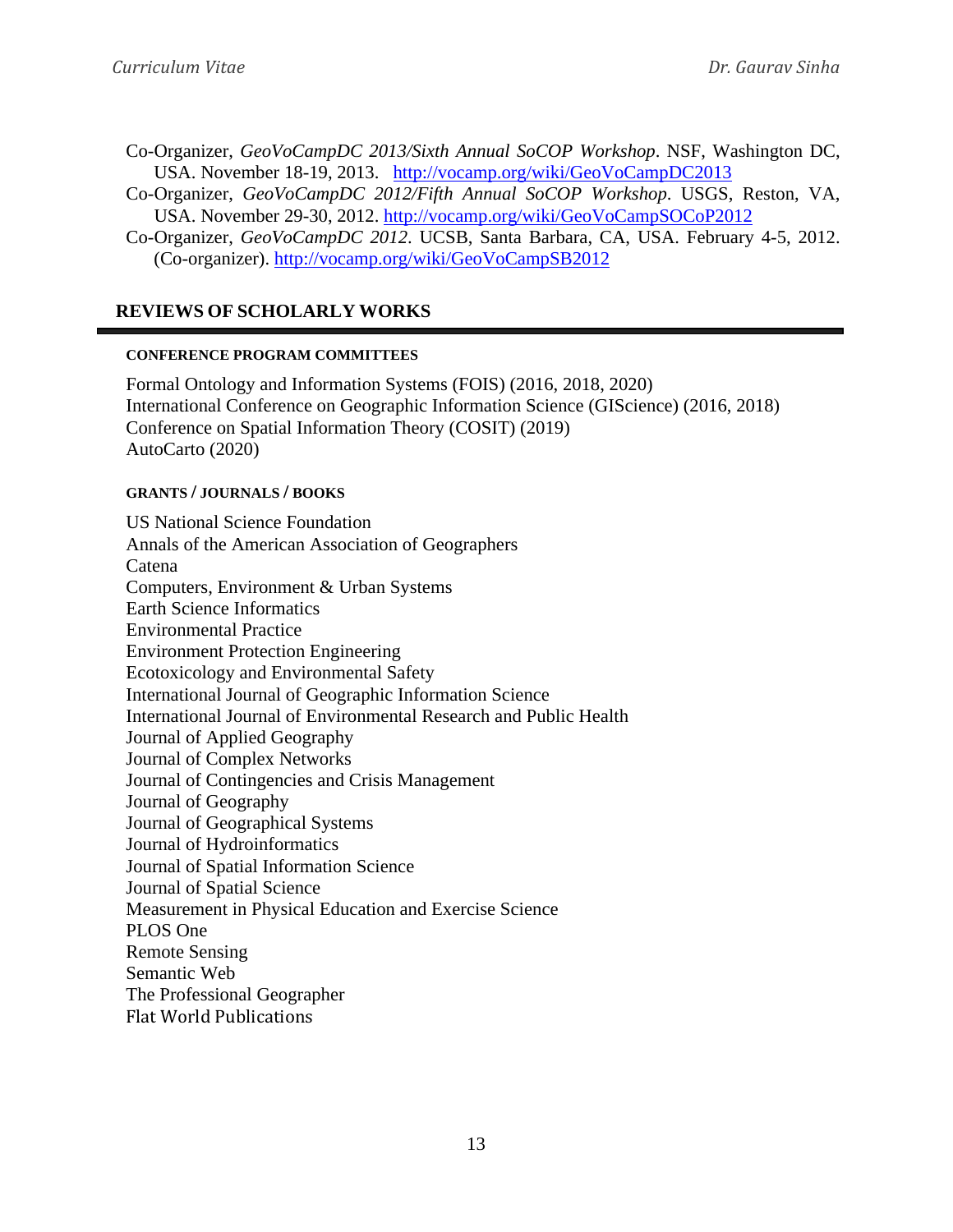- Co-Organizer, *GeoVoCampDC 2013/Sixth Annual SoCOP Workshop*. NSF, Washington DC, USA. November 18-19, 2013. <http://vocamp.org/wiki/GeoVoCampDC2013>
- Co-Organizer, *GeoVoCampDC 2012/Fifth Annual SoCOP Workshop*. USGS, Reston, VA, USA. November 29-30, 2012.<http://vocamp.org/wiki/GeoVoCampSOCoP2012>
- Co-Organizer, *GeoVoCampDC 2012*. UCSB, Santa Barbara, CA, USA. February 4-5, 2012. (Co-organizer).<http://vocamp.org/wiki/GeoVoCampSB2012>

## **REVIEWS OF SCHOLARLY WORKS**

#### **CONFERENCE PROGRAM COMMITTEES**

Formal Ontology and Information Systems (FOIS) (2016, 2018, 2020) International Conference on Geographic Information Science (GIScience) (2016, 2018) Conference on Spatial Information Theory (COSIT) (2019) AutoCarto (2020)

### **GRANTS / JOURNALS / BOOKS**

US National Science Foundation Annals of the American Association of Geographers Catena Computers, Environment & Urban Systems Earth Science Informatics Environmental Practice Environment Protection Engineering Ecotoxicology and Environmental Safety International Journal of Geographic Information Science International Journal of Environmental Research and Public Health Journal of Applied Geography Journal of Complex Networks Journal of Contingencies and Crisis Management Journal of Geography Journal of Geographical Systems Journal of Hydroinformatics Journal of Spatial Information Science Journal of Spatial Science Measurement in Physical Education and Exercise Science PLOS One Remote Sensing Semantic Web The Professional Geographer Flat World Publications